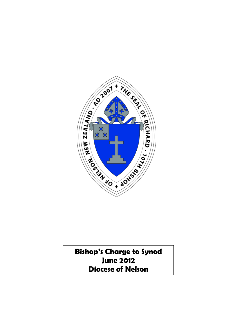

**Bishop's Charge to Synod June 2012 Diocese of Nelson**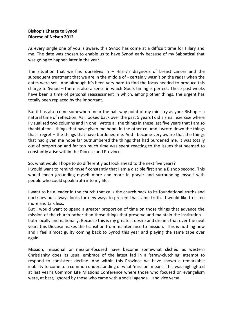# **Bishop's Charge to Synod Diocese of Nelson 2012**

As every single one of you is aware, this Synod has come at a difficult time for Hilary and me. The date was chosen to enable us to have Synod early because of my Sabbatical that was going to happen later in the year.

The situation that we find ourselves in  $-$  Hilary's diagnosis of breast cancer and the subsequent treatment that we are in the middle of - certainly wasn't on the radar when the dates were set. And although it's been very hard to find the focus needed to produce this charge to Synod – there is also a sense in which God's timing is perfect. These past weeks have been a time of personal reassessment in which, among other things, the urgent has totally been replaced by the important.

But it has also come somewhere near the half-way point of my ministry as your Bishop  $-$  a natural time of reflection. As I looked back over the past 5 years I did a small exercise where I visualised two columns and in one I wrote all the things in these last five years that I am so thankful for – things that have given me hope. In the other column I wrote down the things that I regret – the things that have burdened me. And I became very aware that the things that had given me hope far outnumbered the things that had burdened me. It was totally out of proportion and far too much time was spent reacting to the issues that seemed to constantly arise within the Diocese and Province.

So, what would I hope to do differently as I look ahead to the next five years?

I would want to remind myself constantly that I am a disciple first and a Bishop second. This would mean grounding myself more and more in prayer and surrounding myself with people who could speak truth into my life.

I want to be a leader in the church that calls the church back to its foundational truths and doctrines but always looks for new ways to present that same truth. I would like to listen more and talk less.

But I would want to spend a greater proportion of time on those things that advance the mission of the church rather than those things that preserve and maintain the institution – both locally and nationally. Because this is my greatest desire and dream: that over the next years this Diocese makes the transition from maintenance to mission. This is nothing new and I feel almost guilty coming back to Synod this year and playing the same tape over again.

Mission, missional or mission-focused have become somewhat clichéd as western Christianity does its usual embrace of the latest fad in a 'straw-clutching' attempt to respond to consistent decline. And within this Province we have shown a remarkable inability to come to a common understanding of what 'mission' means. This was highlighted at last year's Common Life Missions Conference where those who focused on evangelism were, at best, ignored by those who came with a social agenda – and vice versa.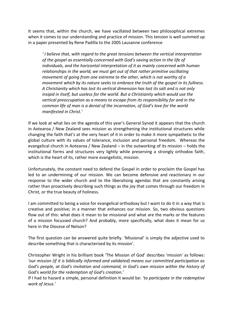It seems that, within the church, we have vacillated between two philosophical extremes when it comes to our understanding and practice of mission. This tension is well summed up in a paper presented by Rene Padilla to the 2005 Lausanne conference

*' I believe that, with regard to the great tensions between the vertical interpretation of the gospel as essentially concerned with God's saving action in the life of individuals, and the horizontal interpretation of it as mainly concerned with human relationships in the world, we must get out of that rather primitive oscillating movement of going from one extreme to the other, which is not worthy of a movement which by its nature seeks to embrace the truth of the gospel in its fullness. A Christianity which has lost its vertical dimension has lost its salt and is not only insipid in itself, but useless for the world. But a Christianity which would use the vertical preoccupation as a means to escape from its responsibility for and in the common life of man is a denial of the incarnation, of God's love for the world manifested in Christ.'*

If we look at what lies on the agenda of this year's General Synod it appears that the church in Aotearoa / New Zealand sees mission as strengthening the institutional structures while changing the faith that's at the very heart of it in order to make it more sympathetic to the global culture with its values of tolerance, inclusion and personal freedom. Whereas the evangelical church in Aotearoa / New Zealand – in the outworking of its mission – holds the institutional forms and structures very lightly while preserving a strongly orthodox faith, which is the heart of its, rather more evangelistic, mission.

Unfortunately, the constant need to defend the Gospel in order to proclaim the Gospel has led to an undermining of our mission. We can become defensive and reactionary in our response to the wider church and to the liberalising agendas that are constantly arising rather than proactively describing such things as the joy that comes through our freedom in Christ, or the true beauty of holiness.

I am committed to being a voice for evangelical orthodoxy but I want to do it in a way that is creative and positive; in a manner that enhances our mission. So, two obvious questions flow out of this: what does it mean to be missional and what are the marks or the features of a mission focussed church? And probably, more specifically, what does it mean for us here in the Diocese of Nelson?

The first question can be answered quite briefly. 'Missional' is simply the adjective used to describe something that is characterised by its mission'.

Christopher Wright in his brilliant book 'The Mission of God' describes 'mission' as follows: *'our mission (if it is biblically informed and validated) means our committed participation as God's people, at God's invitation and command, in God's own mission within the history of God's world for the redemption of God's creation.'*

If I had to hazard a simple, personal definition it would be: *'to participate in the redemptive work of Jesus.'*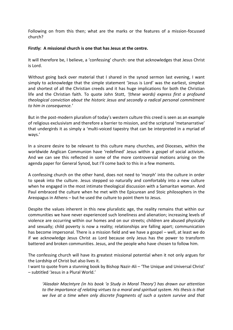Following on from this then; what are the marks or the features of a mission-focussed church?

#### **Firstly: A missional church is one that has Jesus at the centre.**

It will therefore be, I believe, a 'confessing' church: one that acknowledges that Jesus Christ is Lord.

Without going back over material that I shared in the synod sermon last evening, I want simply to acknowledge that the simple statement 'Jesus is Lord' was the earliest, simplest and shortest of all the Christian creeds and it has huge implications for both the Christian life and the Christian faith. To quote John Stott, *'(these words) express first a profound theological conviction about the historic Jesus and secondly a radical personal commitment to him in consequence.'*

But in the post-modern pluralism of today's western culture this creed is seen as an example of religious exclusivism and therefore a barrier to mission, and the scriptural 'metanarrative' that undergirds it as simply a 'multi-voiced tapestry that can be interpreted in a myriad of ways.'

In a sincere desire to be relevant to this culture many churches, and Dioceses, within the worldwide Anglican Communion have 'redefined' Jesus within a gospel of social activism. And we can see this reflected in some of the more controversial motions arising on the agenda paper for General Synod, but I'll come back to this in a few moments.

A confessing church on the other hand, does not need to 'morph' into the culture in order to speak into the culture. Jesus stepped so naturally and comfortably into a new culture when he engaged in the most intimate theological discussion with a Samaritan woman. And Paul embraced the culture when he met with the Epicurean and Stoic philosophers in the Areopagus in Athens – but he used the culture to point them to Jesus.

Despite the values inherent in this new pluralistic age, the reality remains that within our communities we have never experienced such loneliness and alienation; increasing levels of violence are occurring within our homes and on our streets; children are abused physically and sexually; child poverty is now a reality; relationships are falling apart; communication has become impersonal. There is a mission field and we have a gospel – well, at least we do if we acknowledge Jesus Christ as Lord because only Jesus has the power to transform battered and broken communities. Jesus, and the people who have chosen to follow him.

The confessing church will have its greatest missional potential when it not only argues for the Lordship of Christ but also lives it.

I want to quote from a stunning book by Bishop Nazir-Ali – 'The Unique and Universal Christ' – subtitled 'Jesus in a Plural World.'

*'Alasdair MacIntyre (in his book 'a Study in Moral Theory') has drawn our attention to the importance of relating virtues to a moral and spiritual system. His thesis is that we live at a time when only discrete fragments of such a system survive and that*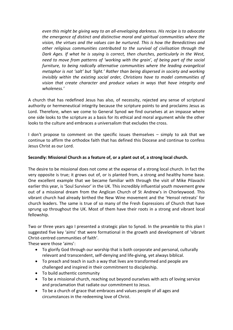*even this might be giving way to an all-enveloping darkness. His recipe is to advocate the emergence of distinct and distinctive moral and spiritual communities where the vision, the virtues and the values can be nurtured. This is how the Benedictines and other religious communities contributed to the survival of civilisation through the Dark Ages. If what he is saying is correct, then churches, particularly in the West, need to move from patterns of 'working with the grain', of being part of the social furniture, to being radically alternative communities where the leading evangelical metaphor is not 'salt' but 'light.' Rather than being dispersed in society and working invisibly within the existing social order, Christians have to model communities of vision that create character and produce values in ways that have integrity and wholeness.'* 

A church that has redefined Jesus has also, of necessity, rejected any sense of scriptural authority or hermeneutical integrity because the scripture points to and proclaims Jesus as Lord. Therefore, when we come to General Synod we find ourselves at an impasse where one side looks to the scripture as a basis for its ethical and moral argument while the other looks to the culture and embraces a universalism that excludes the cross.

I don't propose to comment on the specific issues themselves – simply to ask that we continue to affirm the orthodox faith that has defined this Diocese and continue to confess Jesus Christ as our Lord.

## **Secondly: Missional Church as a feature of, or a plant out of, a strong local church.**

The desire to be missional does not come at the expense of a strong local church. In fact the very opposite is true; it grows out of, or is planted from, a strong and healthy home base. One excellent example that we became familiar with through the visit of Mike Pilavachi earlier this year, is 'Soul Survivor' in the UK. This incredibly influential youth movement grew out of a missional dream from the Anglican Church of St Andrew's in Chorleywood. This vibrant church had already birthed the New Wine movement and the 'Hensol retreats' for church leaders. The same is true of so many of the Fresh Expressions of Church that have sprung up throughout the UK. Most of them have their roots in a strong and vibrant local fellowship.

Two or three years ago I presented a strategic plan to Synod. In the preamble to this plan I suggested five key 'aims' that were formational in the growth and development of 'vibrant Christ-centred communities of faith'.

These were those 'aims':

- To glorify God through our worship that is both corporate and personal, culturally relevant and transcendent, self-denying and life-giving, yet always biblical.
- To preach and teach in such a way that lives are transformed and people are challenged and inspired in their commitment to discipleship.
- To build authentic community
- To be a missional church, reaching out beyond ourselves with acts of loving service and proclamation that radiate our commitment to Jesus.
- To be a church of grace that embraces and values people of all ages and circumstances in the redeeming love of Christ.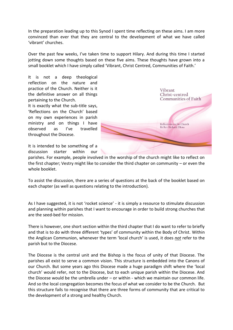In the preparation leading up to this Synod I spent time reflecting on these aims. I am more convinced than ever that they are central to the development of what we have called 'vibrant' churches.

Over the past few weeks, I've taken time to support Hilary. And during this time I started jotting down some thoughts based on these five aims. These thoughts have grown into a small booklet which I have simply called 'Vibrant, Christ Centred, Communities of Faith.'

It is not a deep theological reflection on the nature and practice of the Church. Neither is it the definitive answer on all things pertaining to the Church.

It is exactly what the sub-title says, 'Reflections on the Church' based on my own experiences in parish ministry and on things I have observed as I've travelled throughout the Diocese.



It is intended to be something of a discussion starter within our

parishes. For example, people involved in the worship of the church might like to reflect on the first chapter; Vestry might like to consider the third chapter on community – or even the whole booklet.

To assist the discussion, there are a series of questions at the back of the booklet based on each chapter (as well as questions relating to the introduction).

As I have suggested, it is not 'rocket science' - it is simply a resource to stimulate discussion and planning within parishes that I want to encourage in order to build strong churches that are the seed-bed for mission.

There is however, one short section within the third chapter that I do want to refer to briefly and that is to do with three different 'types' of community within the Body of Christ. Within the Anglican Communion, whenever the term 'local church' is used, it does *not* refer to the parish but to the Diocese.

The Diocese is the central unit and the Bishop is the focus of unity of that Diocese. The parishes all exist to serve a common vision. This structure is embedded into the Canons of our Church. But some years ago this Diocese made a huge paradigm shift where the 'local church' would refer, not to the Diocese, but to each unique parish within the Diocese. And the Diocese would be the umbrella under – or within - which we maintain our common life. And so the local congregation becomes the focus of what we consider to be the Church. But this structure fails to recognise that there are three forms of community that are critical to the development of a strong and healthy Church.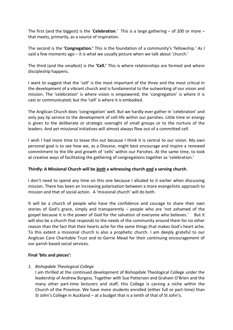The first (and the biggest) is the '**Celebration**.' This is a large gathering – of 200 or more – that meets, primarily, as a source of inspiration.

The second is the **'Congregation.'** This is the foundation of a community's 'fellowship.' As I said a few moments ago – it is what we usually picture when we talk about 'church.'

The third (and the smallest) is the **'Cell.'** This is where relationships are formed and where discipleship happens.

I want to suggest that the 'cell' is the most important of the three and the most critical in the development of a vibrant church and is fundamental to the outworking of our vision and mission. The 'celebration' is where vision is empowered; the 'congregation' is where it is cast or communicated; but the 'cell' is where it is embodied.

The Anglican Church does 'congregation' well. But we hardly ever gather in 'celebration' and only pay lip service to the development of cell-life within our parishes. Little time or energy is given to the deliberate or strategic oversight of small groups or to the nurture of the leaders. And yet missional initiatives will almost always flow out of a committed cell.

I wish I had more time to tease this out because I think it is central to our vision. My own personal goal is to see how we, as a Diocese, might best encourage and inspire a renewed commitment to the life and growth of 'cells' within our Parishes. At the same time, to look at creative ways of facilitating the gathering of congregations together as 'celebration.'

## **Thirdly: A Missional Church will be** *both* **a witnessing church** *and* **a serving church.**

I don't need to spend any time on this one because I alluded to it earlier when discussing mission. There has been an increasing polarisation between a more evangelistic approach to mission and that of social action. A 'missional church' will do both.

It will be a church of people who have the confidence and courage to share their own stories of God's grace, simply and transparently – people who are 'not ashamed of the gospel because it is the power of God for the salvation of everyone who believes.' But it will also be a church that responds to the needs of the community around them for no other reason than the fact that their hearts ache for the same things that makes God's heart ache. To this extent a missional church is also a prophetic church. I am deeply grateful to our Anglican Care Charitable Trust and to Gerrie Mead for their continuing encouragement of our parish based social services.

## **Final 'bits and pieces':**

## *1. Bishopdale Theological College*

I am thrilled at the continued development of Bishopdale Theological College under the leadership of Andrew Burgess. Together with Sue Patterson and Graham O'Brien and the many other part-time lecturers and staff, this College is carving a niche within the Church of the Province. We have more students enrolled (either full or part-time) than St John's College in Auckland – at a budget that is a tenth of that of St John's.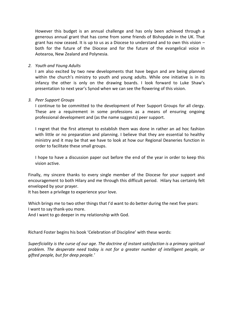However this budget is an annual challenge and has only been achieved through a generous annual grant that has come from some friends of Bishopdale in the UK. That grant has now ceased. It is up to us as a Diocese to understand and to own this vision  $$ both for the future of the Diocese and for the future of the evangelical voice in Aotearoa, New Zealand and Polynesia.

#### *2. Youth and Young Adults*

I am also excited by two new developments that have begun and are being planned within the church's ministry to youth and young adults. While one initiative is in its infancy the other is only on the drawing boards. I look forward to Luke Shaw's presentation to next year's Synod when we can see the flowering of this vision.

#### *3. Peer Support Groups*

I continue to be committed to the development of Peer Support Groups for all clergy. These are a requirement in some professions as a means of ensuring ongoing professional development and (as the name suggests) peer support.

I regret that the first attempt to establish them was done in rather an ad hoc fashion with little or no preparation and planning. I believe that they are essential to healthy ministry and it may be that we have to look at how our Regional Deaneries function in order to facilitate these small groups.

I hope to have a discussion paper out before the end of the year in order to keep this vision active.

Finally, my sincere thanks to every single member of the Diocese for your support and encouragement to both Hilary and me through this difficult period. Hilary has certainly felt enveloped by your prayer.

It has been a privilege to experience your love.

Which brings me to two other things that I'd want to do better during the next five years: I want to say thank-you more.

And I want to go deeper in my relationship with God.

Richard Foster begins his book 'Celebration of Discipline' with these words:

*Superficiality is the curse of our age. The doctrine of instant satisfaction is a primary spiritual problem. The desperate need today is not for a greater number of intelligent people, or gifted people, but for deep people.'*